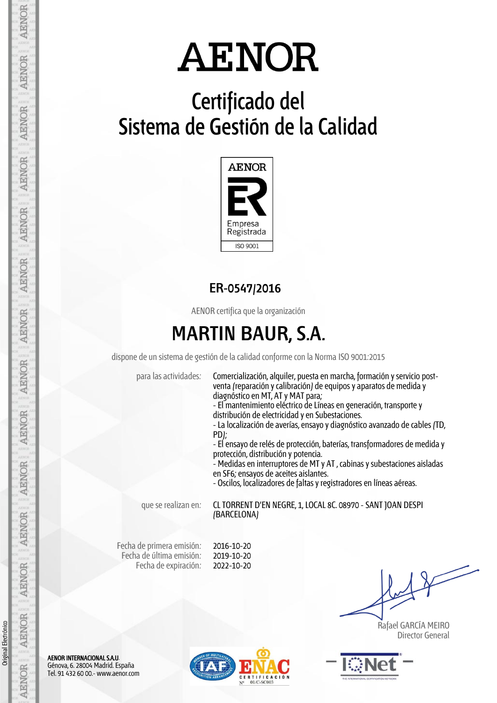## **Certificado del Sistema de Gestión de la Calidad**



### **ER-0547/2016**

AENOR certifica que la organización

### **MARTIN BAUR, S.A.**

dispone de un sistema de gestión de la calidad conforme con la Norma ISO 9001:2015

para las actividades: Comercialización, alquiler, puesta en marcha, formación y servicio postventa (reparación y calibración) de equipos y aparatos de medida y diagnóstico en MT, AT y MAT para;

- El mantenimiento eléctrico de Líneas en generación, transporte y distribución de electricidad y en Subestaciones.

- La localización de averías, ensayo y diagnóstico avanzado de cables (TD, PD);

- El ensayo de relés de protección, baterías, transformadores de medida y protección, distribución y potencia.

- Medidas en interruptores de MT y AT , cabinas y subestaciones aisladas en SF6; ensayos de aceites aislantes.

- Oscilos, localizadores de faltas y registradores en líneas aéreas.

que se realizan en: CL TORRENT D'EN NEGRE, 1, LOCAL 8C. 08970 - SANT JOAN DESPI (BARCELONA)

Fecha de primera emisión: Fecha de última emisión: Fecha de expiración:

2016-10-20 2019-10-20 2022-10-20

 Rafael GARCÍA MEIRO Director General



AENOR INTERNACIONAL S.A.U. Génova, 6. 28004 Madrid. España Tel. 91 432 60 00.- www.aenor.com

Original Electrónico

Original Electrónico